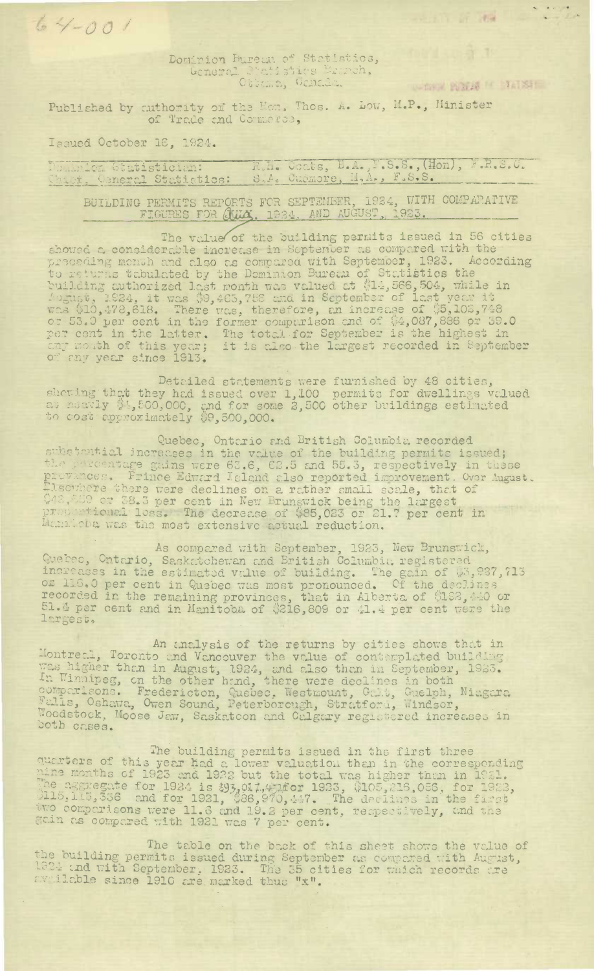Dominion Bureau of Statistics,<br>General Statistics Exerch,<br>Ottema, Gamada.

Published by cuthority of the Hon. Thos. A. Low, H.P., Minister of Trade and Commerce,

Issued October 16, 1924.

 $64 - 001$ 

bathlen Statistician: R.H. Coats, B.A., F.S.S., (Hon), F.R.S.C.<br>aict, Ceneral Statistics: S.A. Cadmore, H.A., F.S.S. balalon Statistician:

BUILDING PERMITS REPORTS FOR SEPTEMBER, 1934, WITH COMPARATIVE FIGURES FOR QUALITY 1934, AND AUGUST, 1923.

 $-1$   $\frac{1}{2}$   $\frac{1}{2}$   $\frac{1}{2}$   $\frac{1}{2}$ 

**SETTING PERSON IN TELESCO** 

**Morling t** 

The value of the building permits issued in 56 cities showed a considerable increase in September as compared with the showed a considerable increase in Soptenber as compared with the preceding month and also as compared with September, 1923. According to returns tabulated by the Dominion Bureau of Statistics the building authorized last m

Detailed statements were furnished by 48 cities, showing that they had issued over 1,100 permits for dwellings valued<br>as neavly \$4,500,000, and for some 2,500 other buildings estimated<br>to cost approximately \$9,500,000.

Quebec, Onterio and British Columbia recorded<br>substantial increases in the value of the building permits issued;<br>the percentage gains were 63.6, 62.5 and 55.3, respectively in these<br>provinces. Frince Edward Island also rep

As compared with September, 1923, New Brunswick, Quebec, Ontario, Saskatchewan and British Columbia registered increases in the estimated value of building. The gain of \$3,937,713<br>or 116.0 per cent in Quebec was most pronounced. Of the declines<br>recorded in the remaining provinces, that in Alberta of \$182,440 or<br>51.4 per cent and in largest.

An analysis of the returns by cities shows that in Montreal, Toronto and Vancouver the value of contemplated building The higher than in August, 1924, and also than in September, 1923.<br>In Winnipeg, on the other hand, there were declines in both<br>comparisons. Fredericton, Quebec, Westmount, Gali, Guelph, Niagara<br>Falls, Oshawa, Owen Sound, P both cases.

The building permits issued in the first three<br>quarters of this year had a lower valuation than in the corresponding<br>mine months of 1925 and 1922 but the total was higher than in 1931.<br>The aggregate for 1924 is \$93,017,47

The table on the back of this sheet shows the value of the building permits issued during September as compared with August, 1934 and with September, 1923. The 35 cities for which records are available since 1910 are marked thus "x".